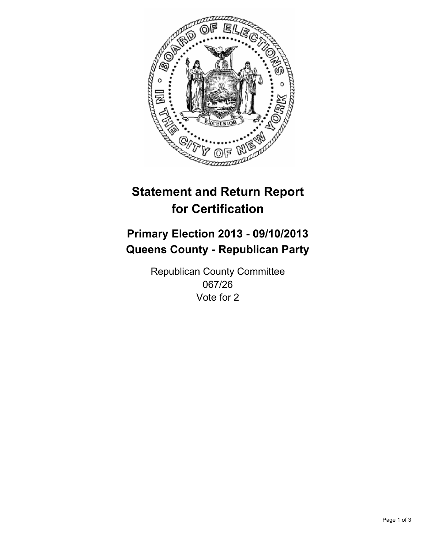

# **Statement and Return Report for Certification**

# **Primary Election 2013 - 09/10/2013 Queens County - Republican Party**

Republican County Committee 067/26 Vote for 2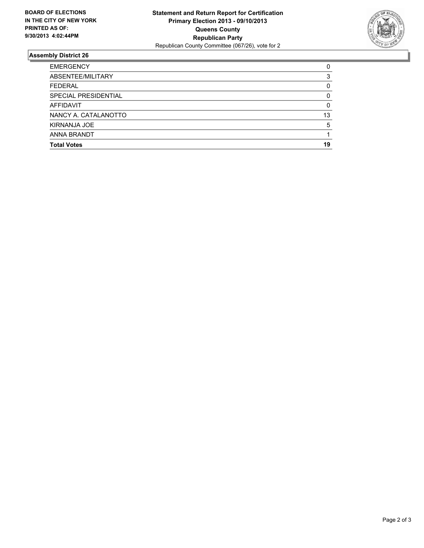

## **Assembly District 26**

| <b>EMERGENCY</b>     | 0  |
|----------------------|----|
| ABSENTEE/MILITARY    | 3  |
| <b>FEDERAL</b>       | 0  |
| SPECIAL PRESIDENTIAL | 0  |
| <b>AFFIDAVIT</b>     | 0  |
| NANCY A. CATALANOTTO | 13 |
| KIRNANJA JOE         | 5  |
| ANNA BRANDT          |    |
| <b>Total Votes</b>   | 19 |